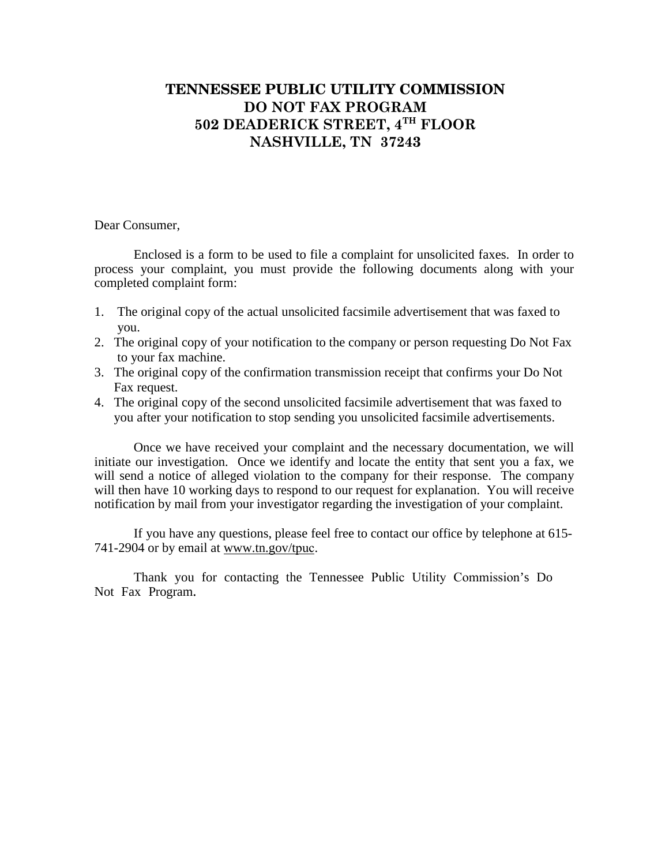## **TENNESSEE PUBLIC UTILITY COMMISSION DO NOT FAX PROGRAM 502 DEADERICK STREET, 4TH FLOOR NASHVILLE, TN 37243**

Dear Consumer,

Enclosed is a form to be used to file a complaint for unsolicited faxes. In order to process your complaint, you must provide the following documents along with your completed complaint form:

- 1. The original copy of the actual unsolicited facsimile advertisement that was faxed to you.
- 2. The original copy of your notification to the company or person requesting Do Not Fax to your fax machine.
- 3. The original copy of the confirmation transmission receipt that confirms your Do Not Fax request.
- 4. The original copy of the second unsolicited facsimile advertisement that was faxed to you after your notification to stop sending you unsolicited facsimile advertisements.

Once we have received your complaint and the necessary documentation, we will initiate our investigation. Once we identify and locate the entity that sent you a fax, we will send a notice of alleged violation to the company for their response. The company will then have 10 working days to respond to our request for explanation. You will receive notification by mail from your investigator regarding the investigation of your complaint.

If you have any questions, please feel free to contact our office by telephone at 615- 741-2904 or by email at www.tn.gov/tpuc.

Thank you for contacting the Tennessee Public Utility Commission's Do Not Fax Program.